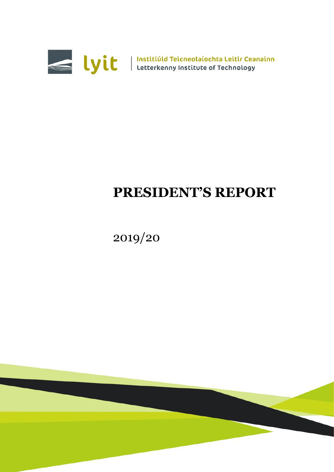

# **PRESIDENT'S REPORT**

2019/20

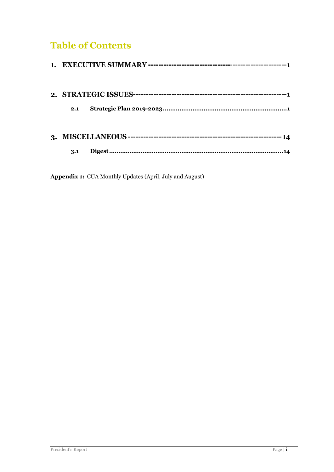## **Table of Contents**

| 2.1 |  |
|-----|--|
|     |  |
| 3.1 |  |

**Appendix 1:** CUA Monthly Updates (April, July and August)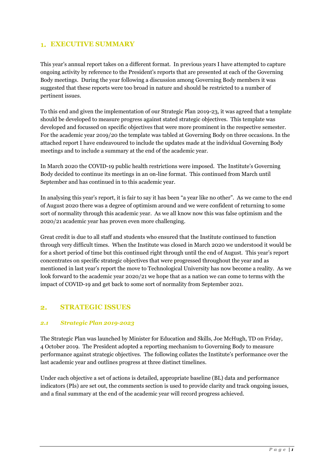### **EXECUTIVE SUMMARY**

This year's annual report takes on a different format. In previous years I have attempted to capture ongoing activity by reference to the President's reports that are presented at each of the Governing Body meetings. During the year following a discussion among Governing Body members it was suggested that these reports were too broad in nature and should be restricted to a number of pertinent issues.

To this end and given the implementation of our Strategic Plan 2019-23, it was agreed that a template should be developed to measure progress against stated strategic objectives. This template was developed and focussed on specific objectives that were more prominent in the respective semester. For the academic year 2019/20 the template was tabled at Governing Body on three occasions. In the attached report I have endeavoured to include the updates made at the individual Governing Body meetings and to include a summary at the end of the academic year.

In March 2020 the COVID-19 public health restrictions were imposed. The Institute's Governing Body decided to continue its meetings in an on-line format. This continued from March until September and has continued in to this academic year.

In analysing this year's report, it is fair to say it has been "a year like no other". As we came to the end of August 2020 there was a degree of optimism around and we were confident of returning to some sort of normality through this academic year. As we all know now this was false optimism and the 2020/21 academic year has proven even more challenging.

Great credit is due to all staff and students who ensured that the Institute continued to function through very difficult times. When the Institute was closed in March 2020 we understood it would be for a short period of time but this continued right through until the end of August. This year's report concentrates on specific strategic objectives that were progressed throughout the year and as mentioned in last year's report the move to Technological University has now become a reality. As we look forward to the academic year 2020/21 we hope that as a nation we can come to terms with the impact of COVID-19 and get back to some sort of normality from September 2021.

#### $2.$ **STRATEGIC ISSUES**

#### <span id="page-3-0"></span>*2.1 Strategic Plan 2019-2023*

The Strategic Plan was launched by Minister for Education and Skills, Joe McHugh, TD on Friday, 4 October 2019. The President adopted a reporting mechanism to Governing Body to measure performance against strategic objectives. The following collates the Institute's performance over the last academic year and outlines progress at three distinct timelines.

Under each objective a set of actions is detailed, appropriate baseline (BL) data and performance indicators (PIs) are set out, the comments section is used to provide clarity and track ongoing issues, and a final summary at the end of the academic year will record progress achieved.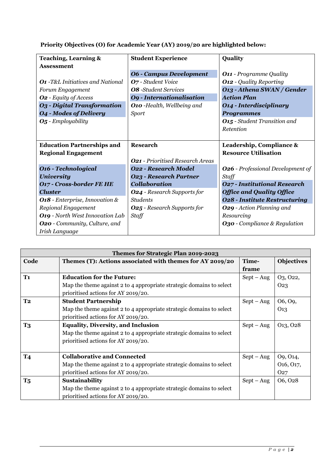|  | Priority Objectives (O) for Academic Year (AY) 2019/20 are highlighted below: |  |
|--|-------------------------------------------------------------------------------|--|
|  |                                                                               |  |

| <b>Teaching, Learning &amp;</b>          | <b>Student Experience</b>               | Quality                                  |
|------------------------------------------|-----------------------------------------|------------------------------------------|
| <b>Assessment</b>                        |                                         |                                          |
|                                          | <b>06 - Campus Development</b>          | <b>O11</b> - Programme Quality           |
| <b>O1</b> -T&L Initiatives and National  | O7 - Student Voice                      | <b>O12</b> - Quality Reporting           |
| Forum Engagement                         | <b>O8</b> -Student Services             | O13 - Athena SWAN / Gender               |
| <b>O2</b> - Equity of Access             | <b>O9</b> - Internationalisation        | <b>Action Plan</b>                       |
| <b>O3</b> - Digital Transformation       | O10 -Health, Wellbeing and              | <b>O14 - Interdisciplinary</b>           |
| <b>O4 - Modes of Delivery</b>            | <b>Sport</b>                            | <b>Programmes</b>                        |
| $O5$ - Employability                     |                                         | <b>O15</b> - Student Transition and      |
|                                          |                                         | Retention                                |
|                                          |                                         |                                          |
| <b>Education Partnerships and</b>        | <b>Research</b>                         | Leadership, Compliance &                 |
| <b>Regional Engagement</b>               |                                         | <b>Resource Utilisation</b>              |
|                                          | <b>O21</b> - Prioritised Research Areas |                                          |
| <b>O16 - Technological</b>               | <b>O22 - Research Model</b>             | <b>O26</b> - Professional Development of |
| <b>University</b>                        | <b>O23 - Research Partner</b>           | Staff                                    |
| <b>O17 - Cross-border FE HE</b>          | <b>Collaboration</b>                    | <b>O27 - Institutional Research</b>      |
| <b>Cluster</b>                           | <b>O24</b> - Research Supports for      | <b>Office and Quality Office</b>         |
| <b>O18</b> - Enterprise, Innovation $\&$ | <b>Students</b>                         | <b>O28 - Institute Restructuring</b>     |
| Regional Engagement                      | <b>O25</b> - Research Supports for      | <b>O29</b> - Action Planning and         |
| <b>O19</b> - North West Innovation Lab   | Staff                                   | Resourcing                               |
| <b>O20</b> - Community, Culture, and     |                                         | <b>O30</b> - Compliance & Regulation     |
| Irish Language                           |                                         |                                          |

|                      | Themes for Strategic Plan 2019-2023                                                                                                                      |                |                                                      |  |
|----------------------|----------------------------------------------------------------------------------------------------------------------------------------------------------|----------------|------------------------------------------------------|--|
| Code                 | Themes (T): Actions associated with themes for AY 2019/20                                                                                                | Time-<br>frame | <b>Objectives</b>                                    |  |
| T <sub>1</sub>       | <b>Education for the Future:</b><br>Map the theme against 2 to 4 appropriate strategic domains to select<br>prioritised actions for AY 2019/20.          | $Sept - Aug$   | 03, 022,<br>O <sub>2</sub> 3                         |  |
| T <sub>2</sub>       | <b>Student Partnership</b><br>Map the theme against 2 to 4 appropriate strategic domains to select<br>prioritised actions for AY 2019/20.                | $Sept - Aug$   | O <sub>6</sub> , O <sub>9</sub> ,<br>O <sub>13</sub> |  |
| <b>T3</b>            | <b>Equality, Diversity, and Inclusion</b><br>Map the theme against 2 to 4 appropriate strategic domains to select<br>prioritised actions for AY 2019/20. | $Sept - Aug$   | 013, 028                                             |  |
| <b>T4</b>            | <b>Collaborative and Connected</b><br>Map the theme against 2 to 4 appropriate strategic domains to select<br>prioritised actions for AY 2019/20.        | $Sept - Aug$   | O9, O14,<br>016, 017,<br>O <sub>27</sub>             |  |
| <b>T<sub>5</sub></b> | Sustainability<br>Map the theme against 2 to 4 appropriate strategic domains to select<br>prioritised actions for AY 2019/20.                            | $Sept - Aug$   | 06, 028                                              |  |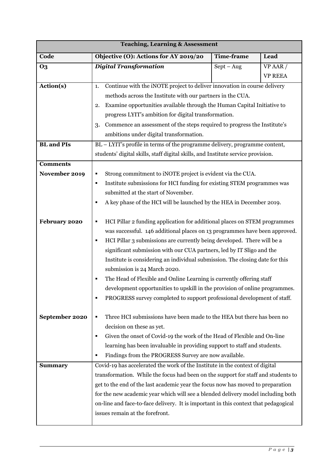| <b>Teaching, Learning &amp; Assessment</b> |                                                                                     |              |                |  |  |
|--------------------------------------------|-------------------------------------------------------------------------------------|--------------|----------------|--|--|
| Code                                       | Objective (O): Actions for AY 2019/20<br><b>Time-frame</b><br>Lead                  |              |                |  |  |
| <b>O3</b>                                  | <b>Digital Transformation</b>                                                       | $Sept - Aug$ | VP AAR /       |  |  |
|                                            |                                                                                     |              | <b>VP REEA</b> |  |  |
| Action(s)                                  | Continue with the iNOTE project to deliver innovation in course delivery<br>1.      |              |                |  |  |
|                                            | methods across the Institute with our partners in the CUA.                          |              |                |  |  |
|                                            | Examine opportunities available through the Human Capital Initiative to<br>2.       |              |                |  |  |
|                                            | progress LYIT's ambition for digital transformation.                                |              |                |  |  |
|                                            | Commence an assessment of the steps required to progress the Institute's<br>3.      |              |                |  |  |
|                                            | ambitions under digital transformation.                                             |              |                |  |  |
| <b>BL</b> and <b>PIs</b>                   | BL - LYIT's profile in terms of the programme delivery, programme content,          |              |                |  |  |
|                                            | students' digital skills, staff digital skills, and Institute service provision.    |              |                |  |  |
| <b>Comments</b>                            |                                                                                     |              |                |  |  |
| November 2019                              | Strong commitment to iNOTE project is evident via the CUA.                          |              |                |  |  |
|                                            | Institute submissions for HCI funding for existing STEM programmes was<br>٠         |              |                |  |  |
|                                            | submitted at the start of November.                                                 |              |                |  |  |
|                                            | A key phase of the HCI will be launched by the HEA in December 2019.                |              |                |  |  |
| February 2020                              | HCI Pillar 2 funding application for additional places on STEM programmes           |              |                |  |  |
|                                            | was successful. 146 additional places on 13 programmes have been approved.          |              |                |  |  |
|                                            | HCI Pillar 3 submissions are currently being developed. There will be a<br>٠        |              |                |  |  |
|                                            | significant submission with our CUA partners, led by IT Sligo and the               |              |                |  |  |
|                                            | Institute is considering an individual submission. The closing date for this        |              |                |  |  |
|                                            | submission is 24 March 2020.                                                        |              |                |  |  |
|                                            | The Head of Flexible and Online Learning is currently offering staff                |              |                |  |  |
|                                            | development opportunities to upskill in the provision of online programmes.         |              |                |  |  |
|                                            | PROGRESS survey completed to support professional development of staff.<br>٠        |              |                |  |  |
|                                            |                                                                                     |              |                |  |  |
| September 2020                             | Three HCI submissions have been made to the HEA but there has been no               |              |                |  |  |
|                                            | decision on these as yet.                                                           |              |                |  |  |
|                                            | Given the onset of Covid-19 the work of the Head of Flexible and On-line            |              |                |  |  |
|                                            | learning has been invaluable in providing support to staff and students.            |              |                |  |  |
|                                            | Findings from the PROGRESS Survey are now available.<br>٠                           |              |                |  |  |
| <b>Summary</b>                             | Covid-19 has accelerated the work of the Institute in the context of digital        |              |                |  |  |
|                                            | transformation. While the focus had been on the support for staff and students to   |              |                |  |  |
|                                            | get to the end of the last academic year the focus now has moved to preparation     |              |                |  |  |
|                                            | for the new academic year which will see a blended delivery model including both    |              |                |  |  |
|                                            | on-line and face-to-face delivery. It is important in this context that pedagogical |              |                |  |  |
|                                            | issues remain at the forefront.                                                     |              |                |  |  |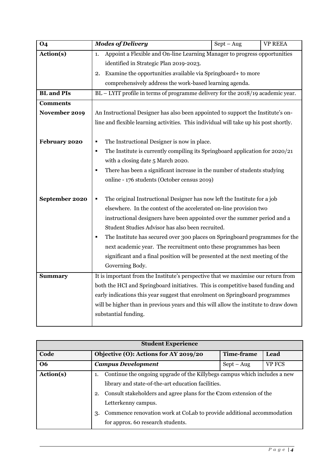| <b>O4</b>         | <b>Modes of Delivery</b>                                                                      | $Sept - Aug$ | <b>VP REEA</b> |  |
|-------------------|-----------------------------------------------------------------------------------------------|--------------|----------------|--|
| Action(s)         | Appoint a Flexible and On-line Learning Manager to progress opportunities<br>1.               |              |                |  |
|                   | identified in Strategic Plan 2019-2023.                                                       |              |                |  |
|                   | Examine the opportunities available via Springboard+ to more<br>2.                            |              |                |  |
|                   | comprehensively address the work-based learning agenda.                                       |              |                |  |
| <b>BL</b> and PIs | BL - LYIT profile in terms of programme delivery for the 2018/19 academic year.               |              |                |  |
| <b>Comments</b>   |                                                                                               |              |                |  |
| November 2019     | An Instructional Designer has also been appointed to support the Institute's on-              |              |                |  |
|                   | line and flexible learning activities. This individual will take up his post shortly.         |              |                |  |
|                   |                                                                                               |              |                |  |
| February 2020     | The Instructional Designer is now in place.<br>٠                                              |              |                |  |
|                   | The Institute is currently compiling its Springboard application for 2020/21<br>п             |              |                |  |
|                   | with a closing date 5 March 2020.                                                             |              |                |  |
|                   | There has been a significant increase in the number of students studying                      |              |                |  |
|                   | online - 176 students (October census 2019)                                                   |              |                |  |
|                   |                                                                                               |              |                |  |
| September 2020    | The original Instructional Designer has now left the Institute for a job<br>٠                 |              |                |  |
|                   | elsewhere. In the context of the accelerated on-line provision two                            |              |                |  |
|                   | instructional designers have been appointed over the summer period and a                      |              |                |  |
|                   | Student Studies Advisor has also been recruited.                                              |              |                |  |
|                   | The Institute has secured over 300 places on Springboard programmes for the<br>$\blacksquare$ |              |                |  |
|                   | next academic year. The recruitment onto these programmes has been                            |              |                |  |
|                   | significant and a final position will be presented at the next meeting of the                 |              |                |  |
|                   | Governing Body.                                                                               |              |                |  |
| <b>Summary</b>    | It is important from the Institute's perspective that we maximise our return from             |              |                |  |
|                   | both the HCI and Springboard initiatives. This is competitive based funding and               |              |                |  |
|                   | early indications this year suggest that enrolment on Springboard programmes                  |              |                |  |
|                   | will be higher than in previous years and this will allow the institute to draw down          |              |                |  |
|                   | substantial funding.                                                                          |              |                |  |
|                   |                                                                                               |              |                |  |

| <b>Student Experience</b> |                                                                                    |                   |               |  |
|---------------------------|------------------------------------------------------------------------------------|-------------------|---------------|--|
| Code                      | Objective (O): Actions for AY 2019/20                                              | <b>Time-frame</b> | Lead          |  |
| <b>O6</b>                 | <b>Campus Development</b>                                                          | $Sept - Aug$      | <b>VP FCS</b> |  |
| Action(s)                 | Continue the ongoing upgrade of the Killybegs campus which includes a new          |                   |               |  |
|                           | library and state-of-the-art education facilities.                                 |                   |               |  |
|                           | Consult stakeholders and agree plans for the $\epsilon$ 20m extension of the<br>2. |                   |               |  |
|                           | Letterkenny campus.                                                                |                   |               |  |
|                           | Commence renovation work at CoLab to provide additional accommodation<br>3.        |                   |               |  |
|                           | for approx. 60 research students.                                                  |                   |               |  |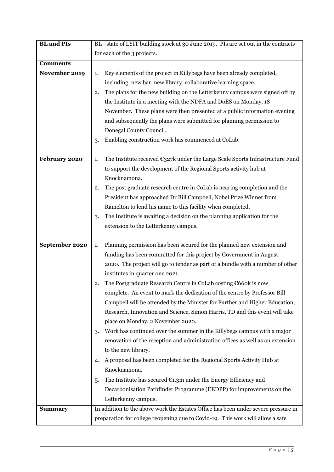| <b>BL</b> and <b>PIs</b> | BL - state of LYIT building stock at 30 June 2019. PIs are set out in the contracts              |  |
|--------------------------|--------------------------------------------------------------------------------------------------|--|
|                          | for each of the 3 projects.                                                                      |  |
| <b>Comments</b>          |                                                                                                  |  |
| November 2019            | Key elements of the project in Killybegs have been already completed,<br>1.                      |  |
|                          | including: new bar, new library, collaborative learning space.                                   |  |
|                          | The plans for the new building on the Letterkenny campus were signed off by<br>2.                |  |
|                          | the Institute in a meeting with the NDFA and DoES on Monday, 18                                  |  |
|                          | November. These plans were then presented at a public information evening                        |  |
|                          | and subsequently the plans were submitted for planning permission to                             |  |
|                          | Donegal County Council.                                                                          |  |
|                          | Enabling construction work has commenced at CoLab.<br>3.                                         |  |
|                          |                                                                                                  |  |
| February 2020            | The Institute received $\epsilon_{327}$ k under the Large Scale Sports Infrastructure Fund<br>1. |  |
|                          | to support the development of the Regional Sports activity hub at                                |  |
|                          | Knocknamona.                                                                                     |  |
|                          | The post graduate research centre in CoLab is nearing completion and the<br>2.                   |  |
|                          | President has approached Dr Bill Campbell, Nobel Prize Winner from                               |  |
|                          | Ramelton to lend his name to this facility when completed.                                       |  |
|                          | The Institute is awaiting a decision on the planning application for the<br>3.                   |  |
|                          | extension to the Letterkenny campus.                                                             |  |
|                          |                                                                                                  |  |
| September 2020           | Planning permission has been secured for the planned new extension and<br>1.                     |  |
|                          | funding has been committed for this project by Government in August                              |  |
|                          | 2020. The project will go to tender as part of a bundle with a number of other                   |  |
|                          | institutes in quarter one 2021.                                                                  |  |
|                          | The Postgraduate Research Centre in CoLab costing €660k is now<br>2.                             |  |
|                          | complete. An event to mark the dedication of the centre by Professor Bill                        |  |
|                          | Campbell will be attended by the Minister for Further and Higher Education,                      |  |
|                          | Research, Innovation and Science, Simon Harris, TD and this event will take                      |  |
|                          | place on Monday, 2 November 2020.                                                                |  |
|                          | Work has continued over the summer in the Killybegs campus with a major<br>3.                    |  |
|                          | renovation of the reception and administration offices as well as an extension                   |  |
|                          | to the new library.                                                                              |  |
|                          | A proposal has been completed for the Regional Sports Activity Hub at<br>4.                      |  |
|                          | Knocknamona.                                                                                     |  |
|                          | The Institute has secured $\epsilon_{1,3m}$ under the Energy Efficiency and<br>5.                |  |
|                          | Decarbonisation Pathfinder Programme (EEDPP) for improvements on the                             |  |
|                          | Letterkenny campus.                                                                              |  |
| <b>Summary</b>           | In addition to the above work the Estates Office has been under severe pressure in               |  |
|                          | preparation for college reopening due to Covid-19. This work will allow a safe                   |  |
|                          |                                                                                                  |  |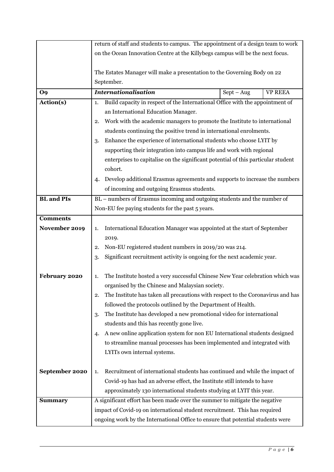|                   | return of staff and students to campus. The appointment of a design team to work                                                                             |              |                |  |
|-------------------|--------------------------------------------------------------------------------------------------------------------------------------------------------------|--------------|----------------|--|
|                   | on the Ocean Innovation Centre at the Killybegs campus will be the next focus.                                                                               |              |                |  |
|                   |                                                                                                                                                              |              |                |  |
|                   | The Estates Manager will make a presentation to the Governing Body on 22                                                                                     |              |                |  |
|                   | September.                                                                                                                                                   |              |                |  |
| O <sub>9</sub>    | <b>Internationalisation</b>                                                                                                                                  | $Sept - Aug$ | <b>VP REEA</b> |  |
| Action(s)         | Build capacity in respect of the International Office with the appointment of<br>1.                                                                          |              |                |  |
|                   | an International Education Manager.                                                                                                                          |              |                |  |
|                   | Work with the academic managers to promote the Institute to international<br>2.                                                                              |              |                |  |
|                   | students continuing the positive trend in international enrolments.                                                                                          |              |                |  |
|                   | Enhance the experience of international students who choose LYIT by<br>3.                                                                                    |              |                |  |
|                   | supporting their integration into campus life and work with regional                                                                                         |              |                |  |
|                   | enterprises to capitalise on the significant potential of this particular student                                                                            |              |                |  |
|                   | cohort.                                                                                                                                                      |              |                |  |
|                   | Develop additional Erasmus agreements and supports to increase the numbers<br>4.                                                                             |              |                |  |
|                   | of incoming and outgoing Erasmus students.                                                                                                                   |              |                |  |
| <b>BL</b> and PIs | BL – numbers of Erasmus incoming and outgoing students and the number of                                                                                     |              |                |  |
|                   | Non-EU fee paying students for the past 5 years.                                                                                                             |              |                |  |
| <b>Comments</b>   |                                                                                                                                                              |              |                |  |
| November 2019     | International Education Manager was appointed at the start of September<br>1.                                                                                |              |                |  |
|                   | 2019.                                                                                                                                                        |              |                |  |
|                   | Non-EU registered student numbers in 2019/20 was 214.<br>2.                                                                                                  |              |                |  |
|                   | Significant recruitment activity is ongoing for the next academic year.<br>3.                                                                                |              |                |  |
|                   |                                                                                                                                                              |              |                |  |
| February 2020     | The Institute hosted a very successful Chinese New Year celebration which was<br>1.                                                                          |              |                |  |
|                   | organised by the Chinese and Malaysian society.<br>The Institute has taken all precautions with respect to the Coronavirus and has                           |              |                |  |
|                   | 2.                                                                                                                                                           |              |                |  |
|                   | followed the protocols outlined by the Department of Health.                                                                                                 |              |                |  |
|                   | The Institute has developed a new promotional video for international<br>3.                                                                                  |              |                |  |
|                   | students and this has recently gone live.                                                                                                                    |              |                |  |
|                   | A new online application system for non EU International students designed<br>4.<br>to streamline manual processes has been implemented and integrated with  |              |                |  |
|                   |                                                                                                                                                              |              |                |  |
|                   | LYITs own internal systems.                                                                                                                                  |              |                |  |
| September 2020    |                                                                                                                                                              |              |                |  |
|                   | Recruitment of international students has continued and while the impact of<br>1.<br>Covid-19 has had an adverse effect, the Institute still intends to have |              |                |  |
|                   | approximately 130 international students studying at LYIT this year.                                                                                         |              |                |  |
| <b>Summary</b>    | A significant effort has been made over the summer to mitigate the negative                                                                                  |              |                |  |
|                   | impact of Covid-19 on international student recruitment. This has required                                                                                   |              |                |  |
|                   | ongoing work by the International Office to ensure that potential students were                                                                              |              |                |  |
|                   |                                                                                                                                                              |              |                |  |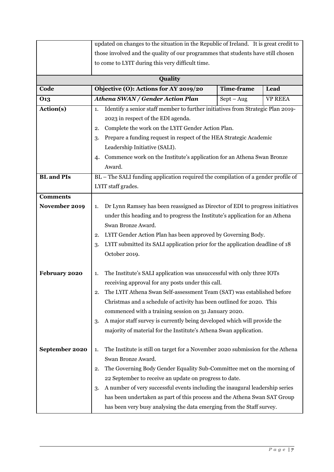|                                  | updated on changes to the situation in the Republic of Ireland. It is great credit to                                                                         |                                                                          |                |  |
|----------------------------------|---------------------------------------------------------------------------------------------------------------------------------------------------------------|--------------------------------------------------------------------------|----------------|--|
|                                  | those involved and the quality of our programmes that students have still chosen                                                                              |                                                                          |                |  |
|                                  | to come to LYIT during this very difficult time.                                                                                                              |                                                                          |                |  |
|                                  | Quality                                                                                                                                                       |                                                                          |                |  |
| Code                             | Objective (O): Actions for AY 2019/20                                                                                                                         | <b>Time-frame</b>                                                        | Lead           |  |
| 013                              | Athena SWAN / Gender Action Plan                                                                                                                              | $Sept - Aug$                                                             | <b>VP REEA</b> |  |
| Action(s)                        | Identify a senior staff member to further initiatives from Strategic Plan 2019-<br>1.                                                                         |                                                                          |                |  |
|                                  | 2023 in respect of the EDI agenda.                                                                                                                            |                                                                          |                |  |
|                                  | Complete the work on the LYIT Gender Action Plan.<br>2.                                                                                                       |                                                                          |                |  |
|                                  | Prepare a funding request in respect of the HEA Strategic Academic<br>3.                                                                                      |                                                                          |                |  |
|                                  | Leadership Initiative (SALI).                                                                                                                                 |                                                                          |                |  |
|                                  | Commence work on the Institute's application for an Athena Swan Bronze<br>4.                                                                                  |                                                                          |                |  |
|                                  | Award.                                                                                                                                                        |                                                                          |                |  |
| <b>BL</b> and PIs                | BL - The SALI funding application required the compilation of a gender profile of                                                                             |                                                                          |                |  |
|                                  | LYIT staff grades.                                                                                                                                            |                                                                          |                |  |
| <b>Comments</b><br>November 2019 | 1.                                                                                                                                                            |                                                                          |                |  |
|                                  | Dr Lynn Ramsey has been reassigned as Director of EDI to progress initiatives<br>under this heading and to progress the Institute's application for an Athena |                                                                          |                |  |
|                                  | Swan Bronze Award.                                                                                                                                            |                                                                          |                |  |
|                                  | LYIT Gender Action Plan has been approved by Governing Body.<br>2.                                                                                            |                                                                          |                |  |
|                                  | LYIT submitted its SALI application prior for the application deadline of 18<br>3.                                                                            |                                                                          |                |  |
|                                  | October 2019.                                                                                                                                                 |                                                                          |                |  |
|                                  |                                                                                                                                                               |                                                                          |                |  |
| February 2020                    | The Institute's SALI application was unsuccessful with only three IOTs<br>1.                                                                                  |                                                                          |                |  |
|                                  | receiving approval for any posts under this call.                                                                                                             |                                                                          |                |  |
|                                  | The LYIT Athena Swan Self-assessment Team (SAT) was established before                                                                                        |                                                                          |                |  |
|                                  | Christmas and a schedule of activity has been outlined for 2020. This                                                                                         |                                                                          |                |  |
|                                  | commenced with a training session on 31 January 2020.                                                                                                         |                                                                          |                |  |
|                                  | 3.                                                                                                                                                            | A major staff survey is currently being developed which will provide the |                |  |
|                                  | majority of material for the Institute's Athena Swan application.                                                                                             |                                                                          |                |  |
| September 2020                   |                                                                                                                                                               |                                                                          |                |  |
|                                  | The Institute is still on target for a November 2020 submission for the Athena<br>1.<br>Swan Bronze Award.                                                    |                                                                          |                |  |
|                                  | The Governing Body Gender Equality Sub-Committee met on the morning of<br>2.                                                                                  |                                                                          |                |  |
|                                  | 22 September to receive an update on progress to date.                                                                                                        |                                                                          |                |  |
|                                  | A number of very successful events including the inaugural leadership series<br>3.                                                                            |                                                                          |                |  |
|                                  | has been undertaken as part of this process and the Athena Swan SAT Group                                                                                     |                                                                          |                |  |
|                                  | has been very busy analysing the data emerging from the Staff survey.                                                                                         |                                                                          |                |  |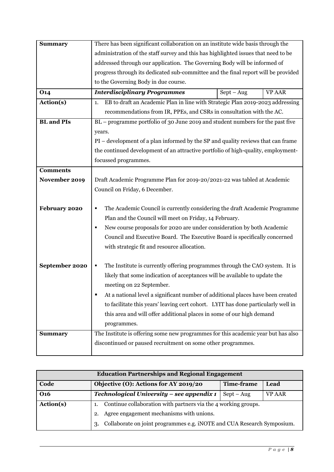| <b>Summary</b>    | There has been significant collaboration on an institute wide basis through the      |              |               |  |
|-------------------|--------------------------------------------------------------------------------------|--------------|---------------|--|
|                   | administration of the staff survey and this has highlighted issues that need to be   |              |               |  |
|                   | addressed through our application. The Governing Body will be informed of            |              |               |  |
|                   | progress through its dedicated sub-committee and the final report will be provided   |              |               |  |
|                   | to the Governing Body in due course.                                                 |              |               |  |
| <b>O14</b>        | <b>Interdisciplinary Programmes</b>                                                  | $Sept - Aug$ | <b>VP AAR</b> |  |
| Action(s)         | EB to draft an Academic Plan in line with Strategic Plan 2019-2023 addressing<br>1.  |              |               |  |
|                   | recommendations from IR, PPEs, and CSRs in consultation with the AC.                 |              |               |  |
| <b>BL</b> and PIs | BL - programme portfolio of 30 June 2019 and student numbers for the past five       |              |               |  |
|                   | years.                                                                               |              |               |  |
|                   | PI – development of a plan informed by the SP and quality reviews that can frame     |              |               |  |
|                   | the continued development of an attractive portfolio of high-quality, employment-    |              |               |  |
|                   | focussed programmes.                                                                 |              |               |  |
| <b>Comments</b>   |                                                                                      |              |               |  |
| November 2019     | Draft Academic Programme Plan for 2019-20/2021-22 was tabled at Academic             |              |               |  |
|                   | Council on Friday, 6 December.                                                       |              |               |  |
|                   |                                                                                      |              |               |  |
| February 2020     | The Academic Council is currently considering the draft Academic Programme<br>٠      |              |               |  |
|                   | Plan and the Council will meet on Friday, 14 February.                               |              |               |  |
|                   | New course proposals for 2020 are under consideration by both Academic<br>٠          |              |               |  |
|                   | Council and Executive Board. The Executive Board is specifically concerned           |              |               |  |
|                   | with strategic fit and resource allocation.                                          |              |               |  |
|                   |                                                                                      |              |               |  |
| September 2020    | The Institute is currently offering programmes through the CAO system. It is<br>٠    |              |               |  |
|                   | likely that some indication of acceptances will be available to update the           |              |               |  |
|                   | meeting on 22 September.                                                             |              |               |  |
|                   | At a national level a significant number of additional places have been created<br>п |              |               |  |
|                   | to facilitate this years' leaving cert cohort. LYIT has done particularly well in    |              |               |  |
|                   | this area and will offer additional places in some of our high demand                |              |               |  |
|                   | programmes.                                                                          |              |               |  |
| <b>Summary</b>    | The Institute is offering some new programmes for this academic year but has also    |              |               |  |
|                   | discontinued or paused recruitment on some other programmes.                         |              |               |  |
|                   |                                                                                      |              |               |  |

| <b>Education Partnerships and Regional Engagement</b> |                                                                                         |                   |      |  |  |  |
|-------------------------------------------------------|-----------------------------------------------------------------------------------------|-------------------|------|--|--|--|
| Code                                                  | Objective (O): Actions for AY 2019/20                                                   | <b>Time-frame</b> | Lead |  |  |  |
| <b>O16</b>                                            | Technological University – see appendix 1<br><b>VP AAR</b><br>$Sept - Aug$              |                   |      |  |  |  |
| Action(s)                                             | Continue collaboration with partners via the 4 working groups.                          |                   |      |  |  |  |
|                                                       | Agree engagement mechanisms with unions.<br>2.                                          |                   |      |  |  |  |
|                                                       | Collaborate on joint programmes e.g. iNOTE and CUA Research Symposium.<br><sup>3.</sup> |                   |      |  |  |  |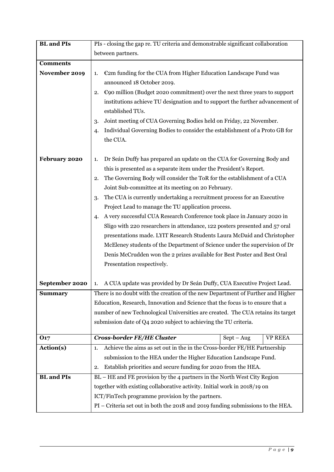| <b>BL</b> and <b>PIs</b> | PIs - closing the gap re. TU criteria and demonstrable significant collaboration                                                                      |  |  |  |
|--------------------------|-------------------------------------------------------------------------------------------------------------------------------------------------------|--|--|--|
|                          | between partners.                                                                                                                                     |  |  |  |
| <b>Comments</b>          |                                                                                                                                                       |  |  |  |
| November 2019            | $\epsilon$ 2m funding for the CUA from Higher Education Landscape Fund was<br>1.                                                                      |  |  |  |
|                          | announced 18 October 2019.                                                                                                                            |  |  |  |
|                          | $\epsilon$ 90 million (Budget 2020 commitment) over the next three years to support<br>2.                                                             |  |  |  |
|                          | institutions achieve TU designation and to support the further advancement of<br>established TUs.                                                     |  |  |  |
|                          | Joint meeting of CUA Governing Bodies held on Friday, 22 November.                                                                                    |  |  |  |
|                          | Individual Governing Bodies to consider the establishment of a Proto GB for<br>4.                                                                     |  |  |  |
|                          | the CUA.                                                                                                                                              |  |  |  |
|                          |                                                                                                                                                       |  |  |  |
| February 2020            | Dr Seán Duffy has prepared an update on the CUA for Governing Body and<br>1.                                                                          |  |  |  |
|                          | this is presented as a separate item under the President's Report.                                                                                    |  |  |  |
|                          | The Governing Body will consider the ToR for the establishment of a CUA<br>2.                                                                         |  |  |  |
|                          | Joint Sub-committee at its meeting on 20 February.                                                                                                    |  |  |  |
|                          | The CUA is currently undertaking a recruitment process for an Executive<br>3.                                                                         |  |  |  |
|                          | Project Lead to manage the TU application process.                                                                                                    |  |  |  |
|                          | A very successful CUA Research Conference took place in January 2020 in<br>4.                                                                         |  |  |  |
|                          | Sligo with 220 researchers in attendance, 122 posters presented and 57 oral                                                                           |  |  |  |
|                          | presentations made. LYIT Research Students Laura McDaid and Christopher<br>McEleney students of the Department of Science under the supervision of Dr |  |  |  |
|                          |                                                                                                                                                       |  |  |  |
|                          | Denis McCrudden won the 2 prizes available for Best Poster and Best Oral<br>Presentation respectively.                                                |  |  |  |
|                          |                                                                                                                                                       |  |  |  |
| September 2020           | A CUA update was provided by Dr Seán Duffy, CUA Executive Project Lead.<br>1.                                                                         |  |  |  |
| <b>Summary</b>           | There is no doubt with the creation of the new Department of Further and Higher                                                                       |  |  |  |
|                          | Education, Research, Innovation and Science that the focus is to ensure that a                                                                        |  |  |  |
|                          | number of new Technological Universities are created. The CUA retains its target                                                                      |  |  |  |
|                          | submission date of Q4 2020 subject to achieving the TU criteria.                                                                                      |  |  |  |
| <b>O17</b>               | <b>Cross-border FE/HE Cluster</b><br>$Sept - Aug$<br><b>VP REEA</b>                                                                                   |  |  |  |
| Action(s)                | Achieve the aims as set out in the in the Cross-border FE/HE Partnership<br>1.                                                                        |  |  |  |
|                          | submission to the HEA under the Higher Education Landscape Fund.                                                                                      |  |  |  |
|                          | Establish priorities and secure funding for 2020 from the HEA.<br>2.                                                                                  |  |  |  |
| <b>BL</b> and PIs        | BL – HE and FE provision by the 4 partners in the North West City Region                                                                              |  |  |  |
|                          | together with existing collaborative activity. Initial work in 2018/19 on                                                                             |  |  |  |
|                          | ICT/FinTech programme provision by the partners.                                                                                                      |  |  |  |
|                          | PI – Criteria set out in both the 2018 and 2019 funding submissions to the HEA.                                                                       |  |  |  |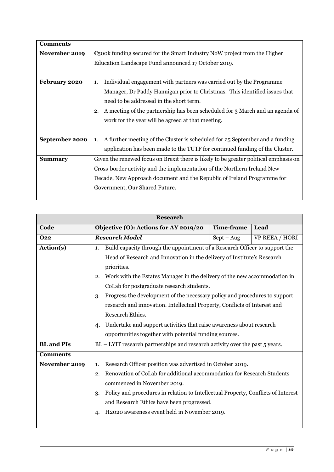| <b>Comments</b> |                                                                                                                                                                                                                                                                                           |  |  |
|-----------------|-------------------------------------------------------------------------------------------------------------------------------------------------------------------------------------------------------------------------------------------------------------------------------------------|--|--|
| November 2019   | $\epsilon$ 500k funding secured for the Smart Industry NoW project from the Higher                                                                                                                                                                                                        |  |  |
|                 | Education Landscape Fund announced 17 October 2019.                                                                                                                                                                                                                                       |  |  |
| February 2020   | Individual engagement with partners was carried out by the Programme<br>1.<br>Manager, Dr Paddy Hannigan prior to Christmas. This identified issues that<br>need to be addressed in the short term.<br>A meeting of the partnership has been scheduled for 3 March and an agenda of<br>2. |  |  |
| September 2020  | work for the year will be agreed at that meeting.<br>A further meeting of the Cluster is scheduled for 25 September and a funding<br>1.<br>application has been made to the TUTF for continued funding of the Cluster.                                                                    |  |  |
| <b>Summary</b>  | Given the renewed focus on Brexit there is likely to be greater political emphasis on                                                                                                                                                                                                     |  |  |
|                 | Cross-border activity and the implementation of the Northern Ireland New                                                                                                                                                                                                                  |  |  |
|                 | Decade, New Approach document and the Republic of Ireland Programme for                                                                                                                                                                                                                   |  |  |
|                 | Government, Our Shared Future.                                                                                                                                                                                                                                                            |  |  |

| <b>Research</b>                  |                                                                                                                                                                                                                                                                                                                                                                                                                                                                                                                                                                                |                   |                |  |  |
|----------------------------------|--------------------------------------------------------------------------------------------------------------------------------------------------------------------------------------------------------------------------------------------------------------------------------------------------------------------------------------------------------------------------------------------------------------------------------------------------------------------------------------------------------------------------------------------------------------------------------|-------------------|----------------|--|--|
| Code                             | Objective (O): Actions for AY 2019/20                                                                                                                                                                                                                                                                                                                                                                                                                                                                                                                                          | <b>Time-frame</b> | Lead           |  |  |
| <b>O22</b>                       | <b>Research Model</b>                                                                                                                                                                                                                                                                                                                                                                                                                                                                                                                                                          | $Sept - Aug$      | VP REEA / HORI |  |  |
| Action(s)                        | Build capacity through the appointment of a Research Officer to support the<br>1.<br>Head of Research and Innovation in the delivery of Institute's Research<br>priorities.<br>Work with the Estates Manager in the delivery of the new accommodation in<br>2.<br>CoLab for postgraduate research students.<br>Progress the development of the necessary policy and procedures to support<br>3.<br>research and innovation. Intellectual Property, Conflicts of Interest and<br>Research Ethics.<br>Undertake and support activities that raise awareness about research<br>4. |                   |                |  |  |
| <b>BL</b> and <b>PIs</b>         | opportunities together with potential funding sources.<br>BL - LYIT research partnerships and research activity over the past 5 years.                                                                                                                                                                                                                                                                                                                                                                                                                                         |                   |                |  |  |
|                                  |                                                                                                                                                                                                                                                                                                                                                                                                                                                                                                                                                                                |                   |                |  |  |
| <b>Comments</b><br>November 2019 | Research Officer position was advertised in October 2019.<br>1.<br>Renovation of CoLab for additional accommodation for Research Students<br>2.<br>commenced in November 2019.<br>Policy and procedures in relation to Intellectual Property, Conflicts of Interest<br>3.<br>and Research Ethics have been progressed.<br>H2020 awareness event held in November 2019.<br>4.                                                                                                                                                                                                   |                   |                |  |  |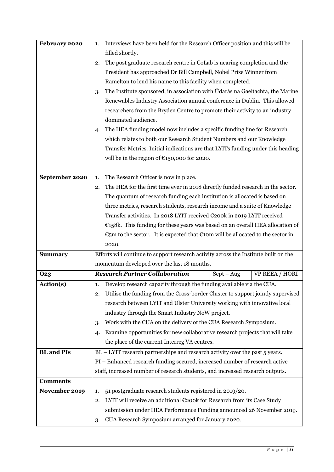| February 2020     | Interviews have been held for the Research Officer position and this will be<br>1.                                            |  |  |
|-------------------|-------------------------------------------------------------------------------------------------------------------------------|--|--|
|                   | filled shortly.<br>The post graduate research centre in CoLab is nearing completion and the                                   |  |  |
|                   | 2.<br>President has approached Dr Bill Campbell, Nobel Prize Winner from                                                      |  |  |
|                   | Ramelton to lend his name to this facility when completed.                                                                    |  |  |
|                   | The Institute sponsored, in association with Údarás na Gaeltachta, the Marine<br>3.                                           |  |  |
|                   | Renewables Industry Association annual conference in Dublin. This allowed                                                     |  |  |
|                   | researchers from the Bryden Centre to promote their activity to an industry                                                   |  |  |
|                   | dominated audience.                                                                                                           |  |  |
|                   | The HEA funding model now includes a specific funding line for Research<br>4.                                                 |  |  |
|                   | which relates to both our Research Student Numbers and our Knowledge                                                          |  |  |
|                   | Transfer Metrics. Initial indications are that LYITs funding under this heading                                               |  |  |
|                   | will be in the region of $\epsilon$ 150,000 for 2020.                                                                         |  |  |
| September 2020    | The Research Officer is now in place.<br>1.                                                                                   |  |  |
|                   | The HEA for the first time ever in 2018 directly funded research in the sector.<br>2.                                         |  |  |
|                   | The quantum of research funding each institution is allocated is based on                                                     |  |  |
|                   | three metrics, research students, research income and a suite of Knowledge                                                    |  |  |
|                   | Transfer activities. In 2018 LYIT received €200k in 2019 LYIT received                                                        |  |  |
|                   | €158k. This funding for these years was based on an overall HEA allocation of                                                 |  |  |
|                   | €5m to the sector. It is expected that €10m will be allocated to the sector in                                                |  |  |
|                   | 2020.                                                                                                                         |  |  |
| <b>Summary</b>    | Efforts will continue to support research activity across the Institute built on the                                          |  |  |
|                   | momentum developed over the last 18 months.                                                                                   |  |  |
| <b>O23</b>        | <b>Research Partner Collaboration</b><br><b>VP REEA / HORI</b><br>$Sept - Aug$                                                |  |  |
| Action(s)         | Develop research capacity through the funding available via the CUA.<br>1.                                                    |  |  |
|                   | Utilise the funding from the Cross-border Cluster to support jointly supervised<br>2.                                         |  |  |
|                   | research between LYIT and Ulster University working with innovative local<br>industry through the Smart Industry NoW project. |  |  |
|                   | Work with the CUA on the delivery of the CUA Research Symposium.                                                              |  |  |
|                   | 3.<br>Examine opportunities for new collaborative research projects that will take                                            |  |  |
|                   | 4.<br>the place of the current Interreg VA centres.                                                                           |  |  |
| <b>BL</b> and PIs | BL - LYIT research partnerships and research activity over the past 5 years.                                                  |  |  |
|                   | PI - Enhanced research funding secured, increased number of research active                                                   |  |  |
|                   | staff, increased number of research students, and increased research outputs.                                                 |  |  |
| <b>Comments</b>   |                                                                                                                               |  |  |
| November 2019     | 51 postgraduate research students registered in 2019/20.<br>1.                                                                |  |  |
|                   | LYIT will receive an additional €200k for Research from its Case Study<br>2.                                                  |  |  |
|                   | submission under HEA Performance Funding announced 26 November 2019.                                                          |  |  |
|                   | CUA Research Symposium arranged for January 2020.<br>3.                                                                       |  |  |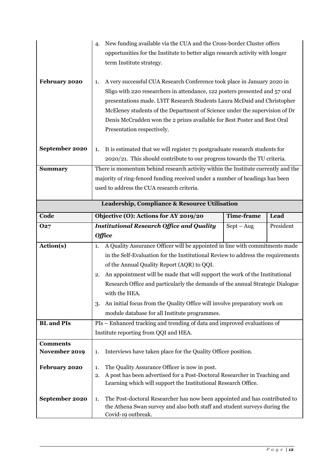|                          | New funding available via the CUA and the Cross-border Cluster offers<br>4.                     |              |           |  |  |
|--------------------------|-------------------------------------------------------------------------------------------------|--------------|-----------|--|--|
|                          | opportunities for the Institute to better align research activity with longer                   |              |           |  |  |
|                          | term Institute strategy.                                                                        |              |           |  |  |
|                          |                                                                                                 |              |           |  |  |
| February 2020            | A very successful CUA Research Conference took place in January 2020 in<br>1.                   |              |           |  |  |
|                          | Sligo with 220 researchers in attendance, 122 posters presented and 57 oral                     |              |           |  |  |
|                          | presentations made. LYIT Research Students Laura McDaid and Christopher                         |              |           |  |  |
|                          | McEleney students of the Department of Science under the supervision of Dr                      |              |           |  |  |
|                          | Denis McCrudden won the 2 prizes available for Best Poster and Best Oral                        |              |           |  |  |
|                          | Presentation respectively.                                                                      |              |           |  |  |
|                          |                                                                                                 |              |           |  |  |
| September 2020           | It is estimated that we will register 71 postgraduate research students for<br>1.               |              |           |  |  |
|                          | 2020/21. This should contribute to our progress towards the TU criteria.                        |              |           |  |  |
| <b>Summary</b>           | There is momentum behind research activity within the Institute currently and the               |              |           |  |  |
|                          | majority of ring-fenced funding received under a number of headings has been                    |              |           |  |  |
|                          | used to address the CUA research criteria.                                                      |              |           |  |  |
|                          |                                                                                                 |              |           |  |  |
|                          | Leadership, Compliance & Resource Utilisation                                                   |              |           |  |  |
| Code                     | Objective (O): Actions for AY 2019/20<br><b>Time-frame</b><br>Lead                              |              |           |  |  |
| 027                      | <b>Institutional Research Office and Quality</b>                                                | $Sept - Aug$ | President |  |  |
|                          | <b>Office</b>                                                                                   |              |           |  |  |
| Action(s)                | A Quality Assurance Officer will be appointed in line with commitments made<br>1.               |              |           |  |  |
|                          |                                                                                                 |              |           |  |  |
|                          | in the Self-Evaluation for the Institutional Review to address the requirements                 |              |           |  |  |
|                          | of the Annual Quality Report (AQR) to QQI.                                                      |              |           |  |  |
|                          | An appointment will be made that will support the work of the Institutional<br>2.               |              |           |  |  |
|                          | Research Office and particularly the demands of the annual Strategic Dialogue                   |              |           |  |  |
|                          | with the HEA.                                                                                   |              |           |  |  |
|                          | An initial focus from the Quality Office will involve preparatory work on<br>3.                 |              |           |  |  |
|                          | module database for all Institute programmes.                                                   |              |           |  |  |
| <b>BL</b> and <b>PIs</b> | PIs - Enhanced tracking and trending of data and improved evaluations of                        |              |           |  |  |
|                          | Institute reporting from QQI and HEA.                                                           |              |           |  |  |
| <b>Comments</b>          |                                                                                                 |              |           |  |  |
| November 2019            | Interviews have taken place for the Quality Officer position.<br>1.                             |              |           |  |  |
|                          |                                                                                                 |              |           |  |  |
| February 2020            | The Quality Assurance Officer is now in post.<br>1.                                             |              |           |  |  |
|                          | A post has been advertised for a Post-Doctoral Researcher in Teaching and<br>2.                 |              |           |  |  |
|                          | Learning which will support the Institutional Research Office.                                  |              |           |  |  |
| September 2020           | The Post-doctoral Researcher has now been appointed and has contributed to<br>1.                |              |           |  |  |
|                          | the Athena Swan survey and also both staff and student surveys during the<br>Covid-19 outbreak. |              |           |  |  |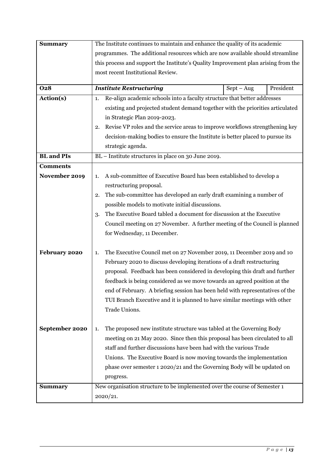| <b>Summary</b>           | The Institute continues to maintain and enhance the quality of its academic        |  |  |  |
|--------------------------|------------------------------------------------------------------------------------|--|--|--|
|                          | programmes. The additional resources which are now available should streamline     |  |  |  |
|                          | this process and support the Institute's Quality Improvement plan arising from the |  |  |  |
|                          | most recent Institutional Review.                                                  |  |  |  |
|                          |                                                                                    |  |  |  |
| <b>O28</b>               | President<br><b>Institute Restructuring</b><br>$Sept - Aug$                        |  |  |  |
| Action(s)                | Re-align academic schools into a faculty structure that better addresses<br>1.     |  |  |  |
|                          | existing and projected student demand together with the priorities articulated     |  |  |  |
|                          | in Strategic Plan 2019-2023.                                                       |  |  |  |
|                          | Revise VP roles and the service areas to improve workflows strengthening key<br>2. |  |  |  |
|                          | decision-making bodies to ensure the Institute is better placed to pursue its      |  |  |  |
|                          | strategic agenda.                                                                  |  |  |  |
| <b>BL</b> and <b>PIs</b> | BL - Institute structures in place on 30 June 2019.                                |  |  |  |
| <b>Comments</b>          |                                                                                    |  |  |  |
| November 2019            | A sub-committee of Executive Board has been established to develop a<br>1.         |  |  |  |
|                          | restructuring proposal.                                                            |  |  |  |
|                          | The sub-committee has developed an early draft examining a number of<br>2.         |  |  |  |
|                          | possible models to motivate initial discussions.                                   |  |  |  |
|                          | The Executive Board tabled a document for discussion at the Executive<br>3.        |  |  |  |
|                          | Council meeting on 27 November. A further meeting of the Council is planned        |  |  |  |
|                          | for Wednesday, 11 December.                                                        |  |  |  |
|                          |                                                                                    |  |  |  |
| February 2020            | The Executive Council met on 27 November 2019, 11 December 2019 and 10<br>1.       |  |  |  |
|                          | February 2020 to discuss developing iterations of a draft restructuring            |  |  |  |
|                          | proposal. Feedback has been considered in developing this draft and further        |  |  |  |
|                          | feedback is being considered as we move towards an agreed position at the          |  |  |  |
|                          | end of February. A briefing session has been held with representatives of the      |  |  |  |
|                          | TUI Branch Executive and it is planned to have similar meetings with other         |  |  |  |
|                          | Trade Unions.                                                                      |  |  |  |
|                          |                                                                                    |  |  |  |
| September 2020           | The proposed new institute structure was tabled at the Governing Body<br>1.        |  |  |  |
|                          | meeting on 21 May 2020. Since then this proposal has been circulated to all        |  |  |  |
|                          | staff and further discussions have been had with the various Trade                 |  |  |  |
|                          | Unions. The Executive Board is now moving towards the implementation               |  |  |  |
|                          | phase over semester 1 2020/21 and the Governing Body will be updated on            |  |  |  |
|                          | progress.                                                                          |  |  |  |
| <b>Summary</b>           | New organisation structure to be implemented over the course of Semester 1         |  |  |  |
|                          | 2020/21.                                                                           |  |  |  |
|                          |                                                                                    |  |  |  |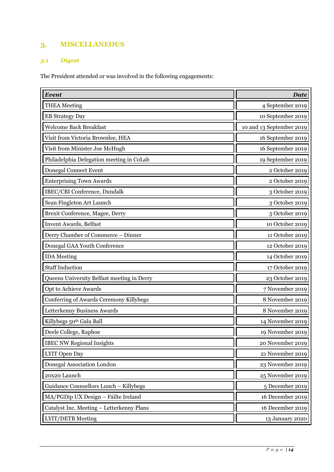#### **MISCELLANEOUS**  $3.$

### <span id="page-16-0"></span>*3.1 Digest*

The President attended or was involved in the following engagements:

| Event                                      | <b>Date</b>              |
|--------------------------------------------|--------------------------|
| <b>THEA</b> Meeting                        | 4 September 2019         |
| <b>EB Strategy Day</b>                     | 10 September 2019        |
| <b>Welcome Back Breakfast</b>              | 10 and 13 September 2019 |
| Visit from Victoria Brownlee, HEA          | 16 September 2019        |
| Visit from Minister Joe McHugh             | 16 September 2019        |
| Philadelphia Delegation meeting in CoLab   | 19 September 2019        |
| <b>Donegal Connect Event</b>               | 2 October 2019           |
| <b>Enterprising Town Awards</b>            | 2 October 2019           |
| IBEC/CBI Conference, Dundalk               | 3 October 2019           |
| Sean Fingleton Art Launch                  | 3 October 2019           |
| Brexit Conference, Magee, Derry            | 5 October 2019           |
| Invent Awards, Belfast                     | 10 October 2019          |
| Derry Chamber of Commerce - Dinner         | 11 October 2019          |
| Donegal GAA Youth Conference               | 12 October 2019          |
| <b>IDA</b> Meeting                         | 14 October 2019          |
| <b>Staff Induction</b>                     | 17 October 2019          |
| Queens University Belfast meeting in Derry | 23 October 2019          |
| Opt to Achieve Awards                      | 7 November 2019          |
| Conferring of Awards Ceremony Killybegs    | 8 November 2019          |
| Letterkenny Business Awards                | 8 November 2019          |
| Killybegs 50th Gala Ball                   | 14 November 2019         |
| Deele College, Raphoe                      | 19 November 2019         |
| <b>IBEC NW Regional Insights</b>           | 20 November 2019         |
| LYIT Open Day                              | 21 November 2019         |
| Donegal Association London                 | 23 November 2019         |
| 20x20 Launch                               | 25 November 2019         |
| Guidance Counsellors Lunch - Killybegs     | 5 December 2019          |
| MA/PGDip UX Design - Fáilte Ireland        | 16 December 2019         |
| Catalyst Inc. Meeting - Letterkenny Plans  | 16 December 2019         |
| LYIT/DETB Meeting                          | 13 January 2020          |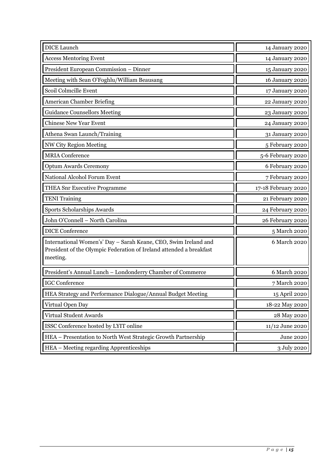| <b>DICE</b> Launch                                                                                                                                 | 14 January 2020     |
|----------------------------------------------------------------------------------------------------------------------------------------------------|---------------------|
| <b>Access Mentoring Event</b>                                                                                                                      | 14 January 2020     |
| President European Commission - Dinner                                                                                                             | 15 January 2020     |
| Meeting with Sean O'Foghlu/William Beausang                                                                                                        | 16 January 2020     |
| Scoil Colmcille Event                                                                                                                              | 17 January 2020     |
| American Chamber Briefing                                                                                                                          | 22 January 2020     |
| <b>Guidance Counsellors Meeting</b>                                                                                                                | 23 January 2020     |
| <b>Chinese New Year Event</b>                                                                                                                      | 24 January 2020     |
| Athena Swan Launch/Training                                                                                                                        | 31 January 2020     |
| NW City Region Meeting                                                                                                                             | 5 February 2020     |
| <b>MRIA</b> Conference                                                                                                                             | 5-6 February 2020   |
| <b>Optum Awards Ceremony</b>                                                                                                                       | 6 February 2020     |
| National Alcohol Forum Event                                                                                                                       | 7 February 2020     |
| THEA Snr Executive Programme                                                                                                                       | 17-18 February 2020 |
| <b>TENI</b> Training                                                                                                                               | 21 February 2020    |
| Sports Scholarships Awards                                                                                                                         | 24 February 2020    |
| John O'Connell - North Carolina                                                                                                                    | 26 February 2020    |
| <b>DICE Conference</b>                                                                                                                             | 5 March 2020        |
| International Women's' Day - Sarah Keane, CEO, Swim Ireland and<br>President of the Olympic Federation of Ireland attended a breakfast<br>meeting. | 6 March 2020        |
| President's Annual Lunch - Londonderry Chamber of Commerce                                                                                         | 6 March 2020        |
| <b>IGC</b> Conference                                                                                                                              | 7 March 2020        |
| <b>HEA Strategy and Performance Dialogue/Annual Budget Meeting</b>                                                                                 | 15 April 2020       |
| Virtual Open Day                                                                                                                                   | 18-22 May 2020      |
| Virtual Student Awards                                                                                                                             | 28 May 2020         |
| ISSC Conference hosted by LYIT online                                                                                                              | 11/12 June 2020     |
| HEA - Presentation to North West Strategic Growth Partnership                                                                                      | <b>June 2020</b>    |
| HEA – Meeting regarding Apprenticeships                                                                                                            | 3 July 2020         |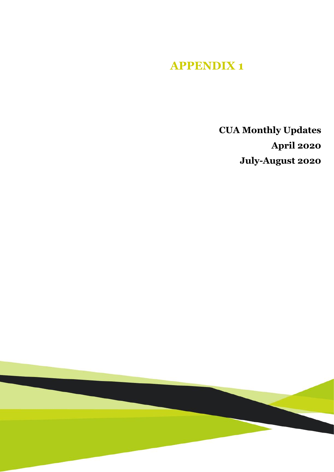# **APPENDIX 1**

**CUA Monthly Updates April 2020 July-August 2020**

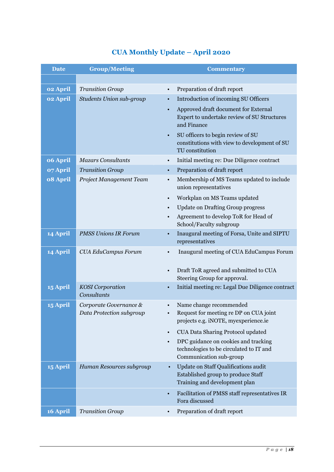### **CUA Monthly Update – April 2020**

| <b>Date</b> | <b>Group/Meeting</b>                               |           | <b>Commentary</b>                                                                                           |
|-------------|----------------------------------------------------|-----------|-------------------------------------------------------------------------------------------------------------|
|             |                                                    |           |                                                                                                             |
| 02 April    | <b>Transition Group</b>                            | $\bullet$ | Preparation of draft report                                                                                 |
| 02 April    | <b>Students Union sub-group</b>                    | $\bullet$ | Introduction of incoming SU Officers                                                                        |
|             |                                                    | $\bullet$ | Approved draft document for External<br>Expert to undertake review of SU Structures<br>and Finance          |
|             |                                                    |           | SU officers to begin review of SU<br>constitutions with view to development of SU<br>TU constitution        |
| 06 April    | <b>Mazars Consultants</b>                          | $\bullet$ | Initial meeting re: Due Diligence contract                                                                  |
| 07 April    | <b>Transition Group</b>                            | $\bullet$ | Preparation of draft report                                                                                 |
| 08 April    | Project Management Team                            | $\bullet$ | Membership of MS Teams updated to include<br>union representatives                                          |
|             |                                                    | $\bullet$ | Workplan on MS Teams updated                                                                                |
|             |                                                    | $\bullet$ | <b>Update on Drafting Group progress</b>                                                                    |
|             |                                                    | $\bullet$ | Agreement to develop ToR for Head of<br>School/Faculty subgroup                                             |
| 14 April    | <b>PMSS Unions IR Forum</b>                        | $\bullet$ | Inaugural meeting of Forsa, Unite and SIPTU<br>representatives                                              |
| 14 April    | <b>CUA EduCampus Forum</b>                         | $\bullet$ | Inaugural meeting of CUA EduCampus Forum                                                                    |
|             |                                                    |           |                                                                                                             |
|             |                                                    |           | Draft ToR agreed and submitted to CUA                                                                       |
| 15 April    | <b>KOSI</b> Corporation                            |           | Steering Group for approval.<br>Initial meeting re: Legal Due Diligence contract                            |
|             | Consultants                                        | $\bullet$ |                                                                                                             |
| 15 April    | Corporate Governance &<br>Data Protection subgroup |           | Name change recommended<br>Request for meeting re DP on CUA joint<br>projects e.g. iNOTE, myexperience.ie   |
|             |                                                    | $\bullet$ | CUA Data Sharing Protocol updated                                                                           |
|             |                                                    |           | DPC guidance on cookies and tracking<br>technologies to be circulated to IT and<br>Communication sub-group  |
| 15 April    | Human Resources subgroup                           |           | Update on Staff Qualifications audit<br>Established group to produce Staff<br>Training and development plan |
|             |                                                    | $\bullet$ | Facilitation of PMSS staff representatives IR<br>Fora discussed                                             |
| 16 April    | <b>Transition Group</b>                            |           | Preparation of draft report                                                                                 |
|             |                                                    |           |                                                                                                             |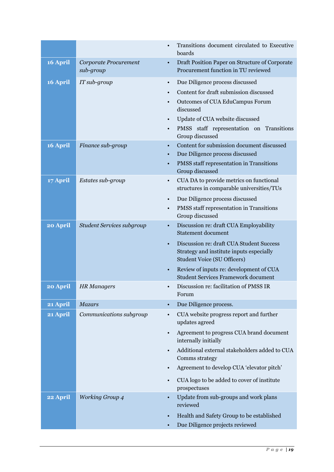|          |                                    | Transitions document circulated to Executive<br>boards                                                                                                                                                                                                                                                                            |
|----------|------------------------------------|-----------------------------------------------------------------------------------------------------------------------------------------------------------------------------------------------------------------------------------------------------------------------------------------------------------------------------------|
| 16 April | Corporate Procurement<br>sub-group | Draft Position Paper on Structure of Corporate<br>$\bullet$<br>Procurement function in TU reviewed                                                                                                                                                                                                                                |
| 16 April | IT sub-group                       | Due Diligence process discussed<br>$\bullet$<br>Content for draft submission discussed<br>$\bullet$<br>Outcomes of CUA EduCampus Forum<br>$\bullet$<br>discussed<br>Update of CUA website discussed<br>$\bullet$<br>PMSS staff representation on Transitions<br>$\bullet$<br>Group discussed                                      |
| 16 April | Finance sub-group                  | Content for submission document discussed<br>$\bullet$<br>Due Diligence process discussed<br>$\bullet$<br>PMSS staff representation in Transitions<br>$\bullet$<br>Group discussed                                                                                                                                                |
| 17 April | Estates sub-group                  | CUA DA to provide metrics on functional<br>$\bullet$<br>structures in comparable universities/TUs<br>Due Diligence process discussed<br>$\bullet$<br>PMSS staff representation in Transitions<br>$\bullet$<br>Group discussed                                                                                                     |
| 20 April | <b>Student Services subgroup</b>   | Discussion re: draft CUA Employability<br>$\bullet$<br><b>Statement document</b><br>Discussion re: draft CUA Student Success<br>$\bullet$<br>Strategy and institute inputs especially<br><b>Student Voice (SU Officers)</b><br>Review of inputs re: development of CUA<br>$\bullet$<br><b>Student Services Framework document</b> |
| 20 April | <b>HR</b> Managers                 | Discussion re: facilitation of PMSS IR<br>$\bullet$<br>Forum                                                                                                                                                                                                                                                                      |
| 21 April | <b>Mazars</b>                      | Due Diligence process.                                                                                                                                                                                                                                                                                                            |
| 21 April | Communications subgroup            | CUA website progress report and further<br>$\bullet$<br>updates agreed<br>Agreement to progress CUA brand document                                                                                                                                                                                                                |
|          |                                    | internally initially<br>Additional external stakeholders added to CUA<br>Comms strategy<br>Agreement to develop CUA 'elevator pitch'<br>CUA logo to be added to cover of institute<br>$\bullet$<br>prospectuses                                                                                                                   |
| 22 April | <b>Working Group 4</b>             | Update from sub-groups and work plans<br>reviewed<br>Health and Safety Group to be established<br>Due Diligence projects reviewed                                                                                                                                                                                                 |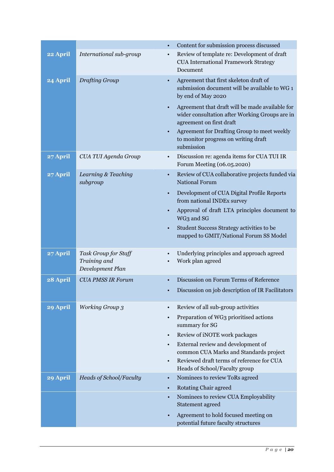|          |                                                          |           | Content for submission process discussed                                                                                      |
|----------|----------------------------------------------------------|-----------|-------------------------------------------------------------------------------------------------------------------------------|
| 22 April | International sub-group                                  | $\bullet$ | Review of template re: Development of draft<br><b>CUA International Framework Strategy</b><br>Document                        |
| 24 April | <b>Drafting Group</b>                                    |           | Agreement that first skeleton draft of<br>submission document will be available to WG 1<br>by end of May 2020                 |
|          |                                                          |           | Agreement that draft will be made available for<br>wider consultation after Working Groups are in<br>agreement on first draft |
|          |                                                          |           | Agreement for Drafting Group to meet weekly<br>to monitor progress on writing draft<br>submission                             |
| 27 April | CUA TUI Agenda Group                                     |           | Discussion re: agenda items for CUA TUI IR<br>Forum Meeting (06.05.2020)                                                      |
| 27 April | Learning & Teaching<br>subgroup                          |           | Review of CUA collaborative projects funded via<br><b>National Forum</b>                                                      |
|          |                                                          | $\bullet$ | Development of CUA Digital Profile Reports<br>from national INDEx survey                                                      |
|          |                                                          |           | Approval of draft LTA principles document to<br>WG3 and SG                                                                    |
|          |                                                          | $\bullet$ | Student Success Strategy activities to be<br>mapped to GMIT/National Forum SS Model                                           |
| 27 April | Task Group for Staff<br>Training and<br>Development Plan |           | Underlying principles and approach agreed<br>Work plan agreed                                                                 |
| 28 April | <b>CUA PMSS IR Forum</b>                                 |           | Discussion on Forum Terms of Reference                                                                                        |
|          |                                                          |           | Discussion on job description of IR Facilitators                                                                              |
| 29 April | <b>Working Group 3</b>                                   | $\bullet$ | Review of all sub-group activities                                                                                            |
|          |                                                          |           | Preparation of WG3 prioritised actions<br>summary for SG                                                                      |
|          |                                                          | $\bullet$ | Review of iNOTE work packages                                                                                                 |
|          |                                                          | $\bullet$ | External review and development of                                                                                            |
|          |                                                          |           | common CUA Marks and Standards project<br>Reviewed draft terms of reference for CUA                                           |
|          |                                                          |           | Heads of School/Faculty group                                                                                                 |
| 29 April | <b>Heads of School/Faculty</b>                           | $\bullet$ | Nominees to review ToRs agreed                                                                                                |
|          |                                                          | $\bullet$ | <b>Rotating Chair agreed</b>                                                                                                  |
|          |                                                          | $\bullet$ | Nominees to review CUA Employability<br>Statement agreed                                                                      |
|          |                                                          |           | Agreement to hold focused meeting on<br>potential future faculty structures                                                   |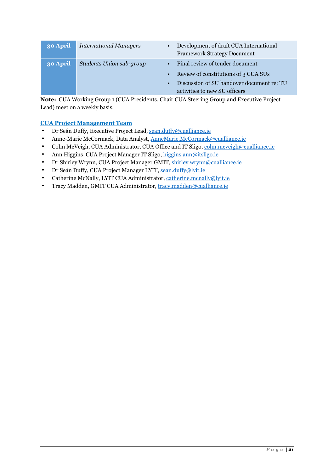| 30 April | <b>International Managers</b> | Development of draft CUA International<br>$\bullet$<br><b>Framework Strategy Document</b> |
|----------|-------------------------------|-------------------------------------------------------------------------------------------|
| 30 April | Students Union sub-group      | Final review of tender document                                                           |
|          |                               | Review of constitutions of 3 CUA SUs<br>$\bullet$                                         |
|          |                               | Discussion of SU handover document re: TU                                                 |
|          |                               | activities to new SU officers                                                             |

**Note:** CUA Working Group 1 (CUA Presidents, Chair CUA Steering Group and Executive Project Lead) meet on a weekly basis.

#### **CUA Project Management Team**

- Dr Seán Duffy, Executive Project Lead, sean.duffy@cualliance.ie
- Anne-Marie McCormack, Data Analyst, AnneMarie.McCormack@cualliance.ie
- Colm McVeigh, CUA Administrator, CUA Office and IT Sligo, colm.mcveigh@cualliance.ie
- Ann Higgins, CUA Project Manager IT Sligo, higgins.ann@itsligo.ie
- Dr Shirley Wrynn, CUA Project Manager GMIT, shirley.wrynn@cualliance.ie
- Dr Seán Duffy, CUA Project Manager LYIT, sean.duffy@lyit.ie
- Catherine McNally, LYIT CUA Administrator, catherine.mcnally@lyit.ie
- Tracy Madden, GMIT CUA Administrator, tracy.madden@cualliance.ie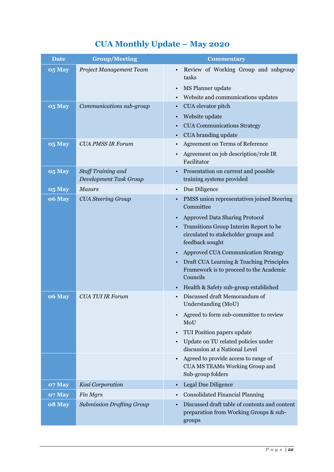## **CUA Monthly Update – May 2020**

| <b>Date</b> | <b>Group/Meeting</b>                                | <b>Commentary</b>                                                                                                                                                |
|-------------|-----------------------------------------------------|------------------------------------------------------------------------------------------------------------------------------------------------------------------|
| 05 May      | Project Management Team                             | Review of Working Group and subgroup<br>tasks<br>MS Planner update<br>$\bullet$<br>Website and communications updates                                            |
| 05 May      | Communications sub-group                            | CUA elevator pitch<br>$\bullet$<br>Website update<br><b>CUA Communications Strategy</b><br>CUA branding update                                                   |
| 05 May      | <b>CUA PMSS IR Forum</b>                            | Agreement on Terms of Reference<br>Agreement on job description/role IR<br>Facilitator                                                                           |
| 05 May      | <b>Staff Training and</b><br>Development Task Group | Presentation on current and possible<br>training systems provided                                                                                                |
| 05 May      | <b>Mazars</b>                                       | Due Diligence<br>$\bullet$                                                                                                                                       |
| 06 May      | <b>CUA Steering Group</b>                           | PMSS union representatives joined Steering<br>Committee                                                                                                          |
|             |                                                     | <b>Approved Data Sharing Protocol</b><br>$\bullet$<br>Transitions Group Interim Report to be<br>circulated to stakeholder groups and<br>feedback sought          |
|             |                                                     | Approved CUA Communication Strategy<br>$\bullet$<br>Draft CUA Learning & Teaching Principles<br>$\bullet$<br>Framework is to proceed to the Academic<br>Councils |
| 06 May      | <b>CUA TUI IR Forum</b>                             | Health & Safety sub-group established<br>$\bullet$<br>Discussed draft Memorandum of<br>Understanding (MoU)                                                       |
|             |                                                     | Agreed to form sub-committee to review<br>MoU                                                                                                                    |
|             |                                                     | TUI Position papers update<br>$\bullet$<br>Update on TU related policies under<br>discussion at a National Level                                                 |
|             |                                                     | Agreed to provide access to range of<br>CUA MS TEAMs Working Group and<br>Sub-group folders                                                                      |
| 07 May      | Kosi Corporation                                    | Legal Due Diligence<br>$\bullet$                                                                                                                                 |
| 07 May      | Fin Mgrs                                            | <b>Consolidated Financial Planning</b>                                                                                                                           |
| 08 May      | <b>Submission Drafting Group</b>                    | Discussed draft table of contents and content<br>preparation from Working Groups & sub-<br>groups                                                                |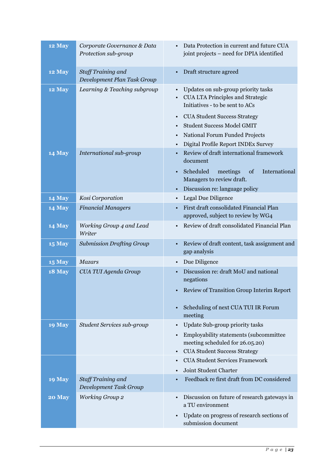| 12 May        | Corporate Governance & Data<br>Protection sub-group | Data Protection in current and future CUA<br>joint projects - need for DPIA identified                                                                                                                                                                                                                                     |
|---------------|-----------------------------------------------------|----------------------------------------------------------------------------------------------------------------------------------------------------------------------------------------------------------------------------------------------------------------------------------------------------------------------------|
| 12 May        | Staff Training and<br>Development Plan Task Group   | Draft structure agreed<br>$\bullet$                                                                                                                                                                                                                                                                                        |
| 12 May        | Learning & Teaching subgroup                        | Updates on sub-group priority tasks<br>$\bullet$<br><b>CUA LTA Principles and Strategic</b><br>Initiatives - to be sent to ACs<br><b>CUA Student Success Strategy</b><br>$\bullet$<br><b>Student Success Model GMIT</b><br>$\bullet$<br>National Forum Funded Projects<br>$\bullet$<br>Digital Profile Report INDEx Survey |
| 14 May        | International sub-group                             | Review of draft international framework<br>document<br>Scheduled<br>meetings<br>of<br>International<br>$\bullet$<br>Managers to review draft.<br>Discussion re: language policy<br>$\bullet$                                                                                                                               |
| 14 May        | Kosi Corporation                                    | Legal Due Diligence<br>$\bullet$                                                                                                                                                                                                                                                                                           |
| 14 May        | <b>Financial Managers</b>                           | First draft consolidated Financial Plan<br>$\bullet$<br>approved, subject to review by WG4                                                                                                                                                                                                                                 |
| <b>14 May</b> | Working Group 4 and Lead<br>Writer                  | Review of draft consolidated Financial Plan<br>$\bullet$                                                                                                                                                                                                                                                                   |
| <b>15 May</b> | <b>Submission Drafting Group</b>                    | Review of draft content, task assignment and<br>gap analysis                                                                                                                                                                                                                                                               |
| <b>15 May</b> | <b>Mazars</b>                                       | Due Diligence<br>$\bullet$                                                                                                                                                                                                                                                                                                 |
| <b>18 May</b> | CUA TUI Agenda Group                                | Discussion re: draft MoU and national<br>negations<br>• Review of Transition Group Interim Report<br>Scheduling of next CUA TUI IR Forum<br>$\bullet$<br>meeting                                                                                                                                                           |
| <b>19 May</b> | Student Services sub-group                          | Update Sub-group priority tasks<br>$\bullet$<br>Employability statements (subcommittee<br>$\bullet$<br>meeting scheduled for 26.05.20)<br><b>CUA Student Success Strategy</b><br>$\bullet$<br><b>CUA Student Services Framework</b><br>$\bullet$<br>Joint Student Charter<br>$\bullet$                                     |
| <b>19 May</b> | <b>Staff Training and</b><br>Development Task Group | Feedback re first draft from DC considered                                                                                                                                                                                                                                                                                 |
| 20 May        | <b>Working Group 2</b>                              | Discussion on future of research gateways in<br>$\bullet$<br>a TU environment<br>Update on progress of research sections of<br>$\bullet$<br>submission document                                                                                                                                                            |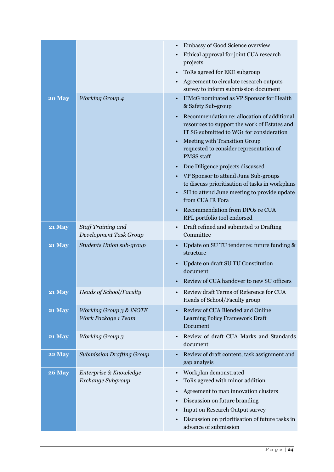|               |                                                | Embassy of Good Science overview<br>Ethical approval for joint CUA research<br>$\bullet$<br>projects<br>ToRs agreed for EKE subgroup<br>Agreement to circulate research outputs<br>survey to inform submission document                                                                                                                                                                                                                                                                                                                                                                                                                        |
|---------------|------------------------------------------------|------------------------------------------------------------------------------------------------------------------------------------------------------------------------------------------------------------------------------------------------------------------------------------------------------------------------------------------------------------------------------------------------------------------------------------------------------------------------------------------------------------------------------------------------------------------------------------------------------------------------------------------------|
| 20 May        | <b>Working Group 4</b>                         | HMcG nominated as VP Sponsor for Health<br>$\bullet$<br>& Safety Sub-group<br>Recommendation re: allocation of additional<br>resources to support the work of Estates and<br>IT SG submitted to WG1 for consideration<br>Meeting with Transition Group<br>$\bullet$<br>requested to consider representation of<br><b>PMSS</b> staff<br>Due Diligence projects discussed<br>$\bullet$<br>VP Sponsor to attend June Sub-groups<br>$\bullet$<br>to discuss prioritisation of tasks in workplans<br>SH to attend June meeting to provide update<br>$\bullet$<br>from CUA IR Fora<br>Recommendation from DPOs re CUA<br>RPL portfolio tool endorsed |
| 21 May        | Staff Training and<br>Development Task Group   | Draft refined and submitted to Drafting<br>Committee                                                                                                                                                                                                                                                                                                                                                                                                                                                                                                                                                                                           |
| 21 May        | <b>Students Union sub-group</b>                | Update on SU TU tender re: future funding &<br>structure<br>Update on draft SU TU Constitution<br>document<br>Review of CUA handover to new SU officers                                                                                                                                                                                                                                                                                                                                                                                                                                                                                        |
| <b>21 May</b> | Heads of School/Faculty                        | Review draft Terms of Reference for CUA<br>Heads of School/Faculty group                                                                                                                                                                                                                                                                                                                                                                                                                                                                                                                                                                       |
| 21 May        | Working Group 3 & iNOTE<br>Work Package 1 Team | Review of CUA Blended and Online<br>Learning Policy Framework Draft<br>Document                                                                                                                                                                                                                                                                                                                                                                                                                                                                                                                                                                |
| 21 May        | <b>Working Group 3</b>                         | Review of draft CUA Marks and Standards<br>$\bullet$<br>document                                                                                                                                                                                                                                                                                                                                                                                                                                                                                                                                                                               |
| <b>22 May</b> | <b>Submission Drafting Group</b>               | Review of draft content, task assignment and<br>gap analysis                                                                                                                                                                                                                                                                                                                                                                                                                                                                                                                                                                                   |
| <b>26 May</b> | Enterprise & Knowledge<br>Exchange Subgroup    | Workplan demonstrated<br>$\bullet$<br>ToRs agreed with minor addition<br>٠<br>Agreement to map innovation clusters<br>$\bullet$<br>Discussion on future branding<br>$\bullet$<br>Input on Research Output survey<br>Discussion on prioritisation of future tasks in<br>٠<br>advance of submission                                                                                                                                                                                                                                                                                                                                              |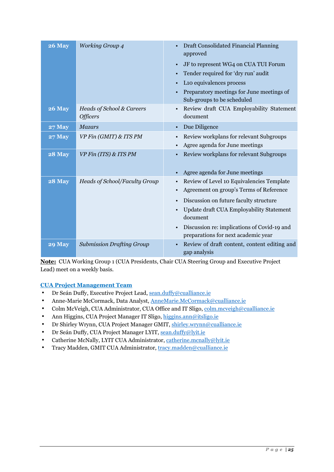| <b>26 May</b> | <b>Working Group 4</b>                       | Draft Consolidated Financial Planning<br>$\bullet$<br>approved<br>JF to represent WG4 on CUA TUI Forum<br>$\bullet$<br>Tender required for 'dry run' audit<br>L <sub>10</sub> equivalences process<br>Preparatory meetings for June meetings of<br>$\bullet$<br>Sub-groups to be scheduled |
|---------------|----------------------------------------------|--------------------------------------------------------------------------------------------------------------------------------------------------------------------------------------------------------------------------------------------------------------------------------------------|
| <b>26 May</b> | Heads of School & Careers<br><b>Officers</b> | Review draft CUA Employability Statement<br>document                                                                                                                                                                                                                                       |
| <b>27 May</b> | <b>Mazars</b>                                | Due Diligence<br>$\bullet$                                                                                                                                                                                                                                                                 |
| <b>27 May</b> | VP Fin (GMIT) & ITS PM                       | Review workplans for relevant Subgroups<br>Agree agenda for June meetings<br>$\bullet$                                                                                                                                                                                                     |
| <b>28 May</b> | VP Fin (ITS) & ITS PM                        | Review workplans for relevant Subgroups<br>Agree agenda for June meetings                                                                                                                                                                                                                  |
| <b>28 May</b> | Heads of School/Faculty Group                | Review of Level 10 Equivalencies Template<br>$\bullet$<br>Agreement on group's Terms of Reference<br>$\bullet$                                                                                                                                                                             |
|               |                                              | Discussion on future faculty structure<br>$\bullet$                                                                                                                                                                                                                                        |
|               |                                              | Update draft CUA Employability Statement<br>document                                                                                                                                                                                                                                       |
|               |                                              | Discussion re: implications of Covid-19 and<br>preparations for next academic year                                                                                                                                                                                                         |
| <b>29 May</b> | <b>Submission Drafting Group</b>             | Review of draft content, content editing and<br>gap analysis                                                                                                                                                                                                                               |

**Note:** CUA Working Group 1 (CUA Presidents, Chair CUA Steering Group and Executive Project Lead) meet on a weekly basis.

### **CUA Project Management Team**

- Dr Seán Duffy, Executive Project Lead, sean.duffy@cualliance.ie
- Anne-Marie McCormack, Data Analyst, AnneMarie.McCormack@cualliance.ie
- Colm McVeigh, CUA Administrator, CUA Office and IT Sligo, colm.mcveigh@cualliance.ie
- Ann Higgins, CUA Project Manager IT Sligo, higgins.ann@itsligo.ie
- Dr Shirley Wrynn, CUA Project Manager GMIT, shirley.wrynn@cualliance.ie
- Dr Seán Duffy, CUA Project Manager LYIT, sean.duffy@lyit.ie
- Catherine McNally, LYIT CUA Administrator, catherine.mcnally@lyit.ie
- Tracy Madden, GMIT CUA Administrator, tracy.madden@cualliance.ie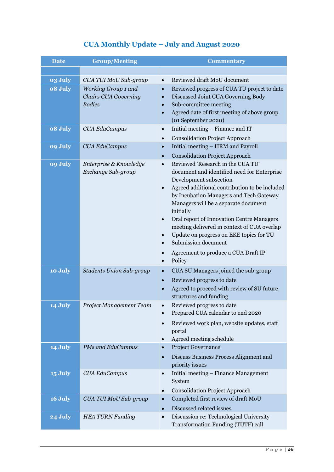### **CUA Monthly Update – July and August 2020**

| <b>Date</b> | <b>Group/Meeting</b>                                                | <b>Commentary</b>                                                                                                                                                                                                                                                                                                                                                                                                                                                                          |
|-------------|---------------------------------------------------------------------|--------------------------------------------------------------------------------------------------------------------------------------------------------------------------------------------------------------------------------------------------------------------------------------------------------------------------------------------------------------------------------------------------------------------------------------------------------------------------------------------|
|             |                                                                     |                                                                                                                                                                                                                                                                                                                                                                                                                                                                                            |
| 03 July     | CUA TUI MoU Sub-group                                               | Reviewed draft MoU document<br>$\bullet$                                                                                                                                                                                                                                                                                                                                                                                                                                                   |
| 08 July     | Working Group 1 and<br><b>Chairs CUA Governing</b><br><b>Bodies</b> | Reviewed progress of CUA TU project to date<br>$\bullet$<br>Discussed Joint CUA Governing Body<br>$\bullet$<br>Sub-committee meeting<br>$\bullet$<br>Agreed date of first meeting of above group<br>(01 September 2020)                                                                                                                                                                                                                                                                    |
| 08 July     | <b>CUA EduCampus</b>                                                | Initial meeting - Finance and IT<br>$\bullet$                                                                                                                                                                                                                                                                                                                                                                                                                                              |
| 09 July     |                                                                     | <b>Consolidation Project Approach</b><br>$\bullet$<br>Initial meeting - HRM and Payroll<br>$\bullet$                                                                                                                                                                                                                                                                                                                                                                                       |
|             | <b>CUA EduCampus</b>                                                | <b>Consolidation Project Approach</b><br>$\bullet$                                                                                                                                                                                                                                                                                                                                                                                                                                         |
| 09 July     | Enterprise & Knowledge<br>Exchange Sub-group                        | Reviewed 'Research in the CUA TU'<br>$\bullet$<br>document and identified need for Enterprise<br>Development subsection<br>Agreed additional contribution to be included<br>by Incubation Managers and Tech Gateway<br>Managers will be a separate document<br>initially<br>Oral report of Innovation Centre Managers<br>meeting delivered in context of CUA overlap<br>Update on progress on EKE topics for TU<br>$\bullet$<br>Submission document<br>Agreement to produce a CUA Draft IP |
|             |                                                                     | Policy<br>$\bullet$                                                                                                                                                                                                                                                                                                                                                                                                                                                                        |
| 10 July     | <b>Students Union Sub-group</b>                                     | CUA SU Managers joined the sub-group<br>$\bullet$<br>Reviewed progress to date<br>$\bullet$<br>Agreed to proceed with review of SU future<br>$\bullet$<br>structures and funding                                                                                                                                                                                                                                                                                                           |
| 14 July     | Project Management Team                                             | Reviewed progress to date<br>Prepared CUA calendar to end 2020<br>Reviewed work plan, website updates, staff<br>$\bullet$<br>portal<br>Agreed meeting schedule<br>$\bullet$                                                                                                                                                                                                                                                                                                                |
| 14 July     | PMs and EduCampus                                                   | Project Governance<br>$\bullet$<br>Discuss Business Process Alignment and<br>$\bullet$<br>priority issues                                                                                                                                                                                                                                                                                                                                                                                  |
| 15 July     | <b>CUA EduCampus</b>                                                | Initial meeting - Finance Management<br>$\bullet$<br>System<br><b>Consolidation Project Approach</b><br>$\bullet$                                                                                                                                                                                                                                                                                                                                                                          |
| 16 July     | CUA TUI MoU Sub-group                                               | Completed first review of draft MoU<br>$\bullet$<br>Discussed related issues<br>$\bullet$                                                                                                                                                                                                                                                                                                                                                                                                  |
| 24 July     | <b>HEA TURN Funding</b>                                             | Discussion re: Technological University<br>$\bullet$<br>Transformation Funding (TUTF) call                                                                                                                                                                                                                                                                                                                                                                                                 |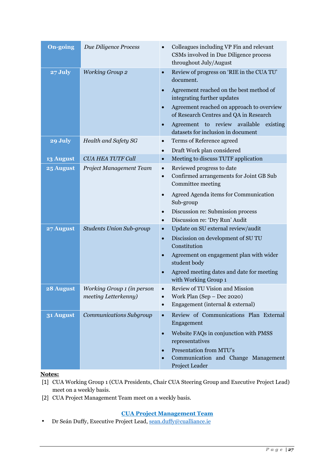| <b>On-going</b>  | Due Diligence Process           | Colleagues including VP Fin and relevant<br>CSMs involved in Due Diligence process<br>throughout July/August |
|------------------|---------------------------------|--------------------------------------------------------------------------------------------------------------|
| 27 July          | <b>Working Group 2</b>          | Review of progress on 'RIE in the CUA TU'<br>$\bullet$<br>document.                                          |
|                  |                                 | Agreement reached on the best method of<br>integrating further updates                                       |
|                  |                                 | Agreement reached on approach to overview<br>of Research Centres and QA in Research                          |
|                  |                                 | Agreement to review available<br>existing<br>$\bullet$<br>datasets for inclusion in document                 |
| 29 July          | Health and Safety SG            | Terms of Reference agreed<br>$\bullet$                                                                       |
|                  |                                 | Draft Work plan considered<br>$\bullet$                                                                      |
| <b>13 August</b> | <b>CUA HEA TUTF Call</b>        | Meeting to discuss TUTF application<br>$\bullet$                                                             |
| 25 August        | Project Management Team         | Reviewed progress to date<br>$\bullet$                                                                       |
|                  |                                 | Confirmed arrangements for Joint GB Sub<br>$\bullet$                                                         |
|                  |                                 | Committee meeting                                                                                            |
|                  |                                 | Agreed Agenda items for Communication                                                                        |
|                  |                                 | Sub-group                                                                                                    |
|                  |                                 | Discussion re: Submission process<br>$\bullet$                                                               |
|                  |                                 | Discussion re: 'Dry Run' Audit<br>$\bullet$                                                                  |
| 27 August        | <b>Students Union Sub-group</b> | Update on SU external review/audit<br>$\bullet$                                                              |
|                  |                                 | Discission on development of SU TU<br>$\bullet$                                                              |
|                  |                                 | Constitution                                                                                                 |
|                  |                                 | Agreement on engagement plan with wider<br>student body                                                      |
|                  |                                 | Agreed meeting dates and date for meeting                                                                    |
|                  |                                 | with Working Group 1                                                                                         |
| 28 August        | Working Group 1 (in person      | Review of TU Vision and Mission                                                                              |
|                  | meeting Letterkenny)            | Work Plan (Sep - Dec 2020)<br>$\bullet$                                                                      |
|                  |                                 | Engagement (internal & external)<br>$\bullet$                                                                |
| 31 August        | Communications Subgroup         | Review of Communications Plan External<br>$\bullet$<br>Engagement                                            |
|                  |                                 | Website FAQs in conjunction with PMSS<br>$\bullet$<br>representatives                                        |
|                  |                                 | Presentation from MTU's<br>$\bullet$                                                                         |
|                  |                                 | Communication and Change Management<br>$\bullet$<br>Project Leader                                           |

#### **Notes:**

- [1] CUA Working Group 1 (CUA Presidents, Chair CUA Steering Group and Executive Project Lead) meet on a weekly basis.
- [2] CUA Project Management Team meet on a weekly basis.

### **CUA Project Management Team**

• Dr Seán Duffy, Executive Project Lead, sean.duffy@cualliance.ie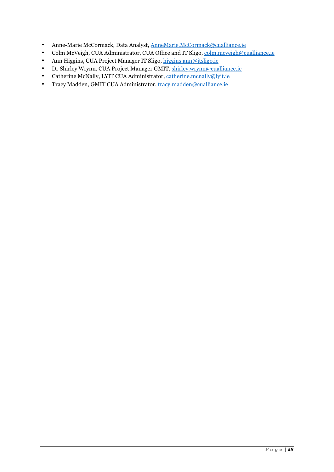- Anne-Marie McCormack, Data Analyst, AnneMarie.McCormack@cualliance.ie
- Colm McVeigh, CUA Administrator, CUA Office and IT Sligo, colm.mcveigh@cualliance.ie
- Ann Higgins, CUA Project Manager IT Sligo, higgins.ann@itsligo.ie
- Dr Shirley Wrynn, CUA Project Manager GMIT, shirley.wrynn@cualliance.ie
- Catherine McNally, LYIT CUA Administrator, catherine.mcnally@lyit.ie
- Tracy Madden, GMIT CUA Administrator, tracy.madden@cualliance.ie